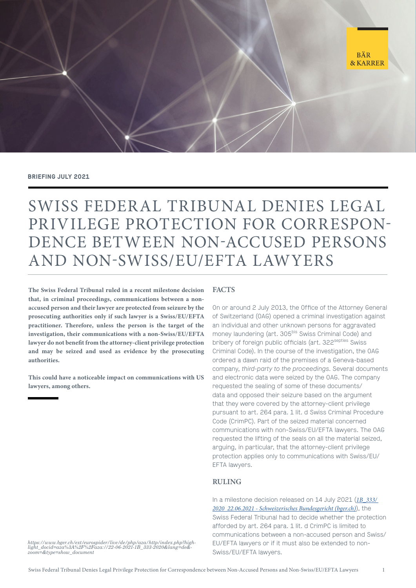

#### **BRIEFING JULY 2021**

# SWISS FEDERAL TRIBUNAL DENIES LEGAL PRIVILEGE PROTECTION FOR CORRESPON-DENCE BETWEEN NON-ACCUSED PERSONS AND NON-SWISS/EU/EFTA LAWYERS

The Swiss Federal Tribunal ruled in a recent milestone decision that, in criminal proceedings, communications between a nonaccused person and their lawyer are protected from seizure by the prosecuting authorities only if such lawyer is a Swiss/EU/EFTA practitioner. Therefore, unless the person is the target of the investigation, their communications with a non-Swiss/EU/EFTA lawyer do not benefit from the attorney-client privilege protection and may be seized and used as evidence by the prosecuting authorities.

This could have a noticeable impact on communications with US lawyers, among others.

#### **FACTS**

On or around 2 July 2013, the Office of the Attorney General of Switzerland (OAG) opened a criminal investigation against an individual and other unknown persons for aggravated money laundering (art. 305<sup>bis</sup> Swiss Criminal Code) and bribery of foreign public officials (art. 322<sup>septies</sup> Swiss Criminal Code). In the course of the investigation, the OAG ordered a dawn raid of the premises of a Geneva-based company, *third-party to the proceedings*. Several documents and electronic data were seized by the OAG. The company requested the sealing of some of these documents/ data and opposed their seizure based on the argument that they were covered by the attorney-client privilege pursuant to art. 264 para. 1 lit. d Swiss Criminal Procedure Code (CrimPC). Part of the seized material concerned communications with non-Swiss/EU/EFTA lawyers. The OAG requested the lifting of the seals on all the material seized, arguing, in particular, that the attorney-client privilege protection applies only to communications with Swiss/EU/ EFTA lawyers.

#### RULING

In a milestone decision released on 14 July 2021 (*[1B\\_333/](https://www.bger.ch/ext/eurospider/live/de/php/aza/http/index.php?highlight_docid=aza%3A%2F%2Faza://22-06-2021-1B_333-2020&lang=de&zoom=&type=show_document)  [2020 22.06.2021 - Schweizerisches Bundesgericht \(bger.ch\)](https://www.bger.ch/ext/eurospider/live/de/php/aza/http/index.php?highlight_docid=aza%3A%2F%2Faza://22-06-2021-1B_333-2020&lang=de&zoom=&type=show_document)*), the Swiss Federal Tribunal had to decide whether the protection afforded by art. 264 para. 1 lit. d CrimPC is limited to communications between a non-accused person and Swiss/ EU/EFTA lawyers or if it must also be extended to non-Swiss/EU/EFTA lawyers.

*https://www.bger.ch/ext/eurospider/live/de/php/aza/http/index.php?high- light\_docid=aza%3A%2F%2Faza://22-06-2021-1B\_333-2020&lang=de& zoom=&type=show\_document*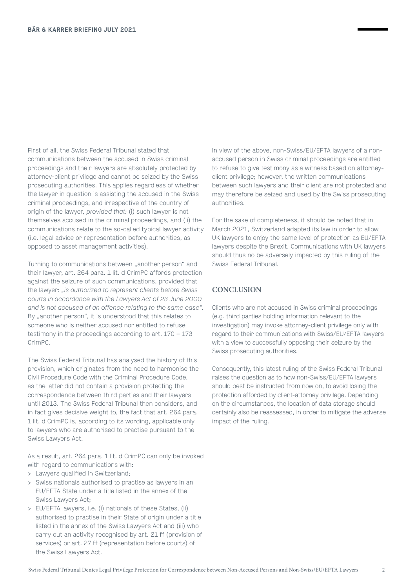First of all, the Swiss Federal Tribunal stated that communications between the accused in Swiss criminal proceedings and their lawyers are absolutely protected by attorney-client privilege and cannot be seized by the Swiss prosecuting authorities. This applies regardless of whether the lawyer in question is assisting the accused in the Swiss criminal proceedings, and irrespective of the country of origin of the lawyer, *provided that:* (i) such lawyer is not themselves accused in the criminal proceedings, and (ii) the communications relate to the so-called typical lawyer activity (i.e. legal advice or representation before authorities, as opposed to asset management activities).

Turning to communications between "another person" and their lawyer, art. 264 para. 1 lit. d CrimPC affords protection against the seizure of such communications, provided that the lawyer: "is authorized to represent clients before Swiss *courts in accordance with the Lawyers Act of 23 June 2000 and is not accused of an offence relating to the same case"*. By "another person", it is understood that this relates to someone who is neither accused nor entitled to refuse testimony in the proceedings according to art. 170 – 173 CrimPC.

The Swiss Federal Tribunal has analysed the history of this provision, which originates from the need to harmonise the Civil Procedure Code with the Criminal Procedure Code, as the latter did not contain a provision protecting the correspondence between third parties and their lawyers until 2013. The Swiss Federal Tribunal then considers, and in fact gives decisive weight to, the fact that art. 264 para. 1 lit. d CrimPC is, according to its wording, applicable only to lawyers who are authorised to practise pursuant to the Swiss Lawyers Act.

As a result, art. 264 para. 1 lit. d CrimPC can only be invoked with regard to communications with:

- > Lawyers qualified in Switzerland;
- > Swiss nationals authorised to practise as lawyers in an EU/EFTA State under a title listed in the annex of the Swiss Lawyers Act;
- > EU/EFTA lawyers, i.e. (i) nationals of these States, (ii) authorised to practise in their State of origin under a title listed in the annex of the Swiss Lawyers Act and (iii) who carry out an activity recognised by art. 21 ff (provision of services) or art. 27 ff (representation before courts) of the Swiss Lawyers Act.

In view of the above, non-Swiss/EU/EFTA lawyers of a nonaccused person in Swiss criminal proceedings are entitled to refuse to give testimony as a witness based on attorneyclient privilege; however, the written communications between such lawyers and their client are not protected and may therefore be seized and used by the Swiss prosecuting authorities.

For the sake of completeness, it should be noted that in March 2021, Switzerland adapted its law in order to allow UK lawyers to enjoy the same level of protection as EU/EFTA lawyers despite the Brexit. Communications with UK lawyers should thus no be adversely impacted by this ruling of the Swiss Federal Tribunal.

### **CONCLUSION**

Clients who are not accused in Swiss criminal proceedings (e.g. third parties holding information relevant to the investigation) may invoke attorney-client privilege only with regard to their communications with Swiss/EU/EFTA lawyers with a view to successfully opposing their seizure by the Swiss prosecuting authorities.

Consequently, this latest ruling of the Swiss Federal Tribunal raises the question as to how non-Swiss/EU/EFTA lawyers should best be instructed from now on, to avoid losing the protection afforded by client-attorney privilege. Depending on the circumstances, the location of data storage should certainly also be reassessed, in order to mitigate the adverse impact of the ruling.